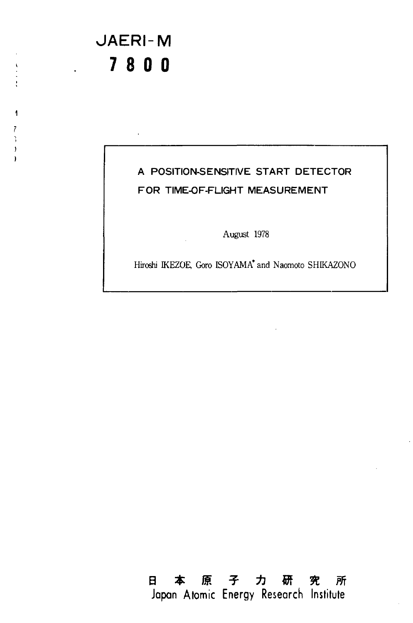## JAERI-M **7 8 0 0**  7 800

 $\overline{1}$  $\overline{7}$ 3  $\overline{)}$  $\lambda$ 

### A POSITION-SENSITIVE START DETECTOR A POSITION-SENSITIVE START DETECTOR FOR TIME-OF-FLIGHT MEASUREMENT FOR TIME-OF-FLlGHT MEASUREMENT

August 1978 August 1978

Hiroshi KEZOE, Goro ISOYAMA\* and Naomoto SHKAZONO Hiroshi IKEZOE, Goro ISOYAMA' and Naomoto SHIKAZONO

**a \*** *m \* -h m n m*  日本原子力研究所 **Japan Atomic Energy Research Institute**  Japan Atomic Energy Research Institute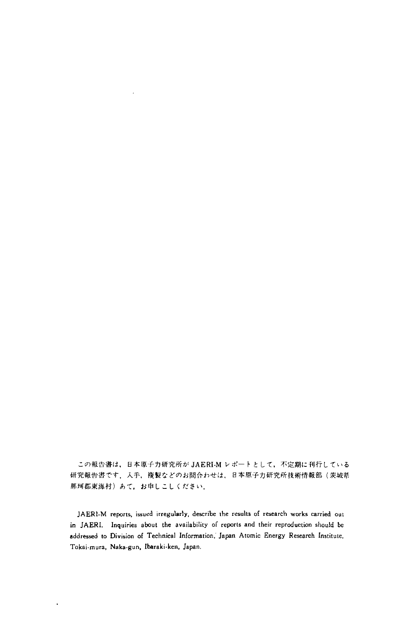この報告書は,日本原子力研究所が JAERI-M レポートとして,不定期に刊行している 研究報告書です.入手,複製などのお問合わせは、日本原子力研究所技術情報部(茨城県 那珂郡東海村)あて、お申しこしください.

JAERI-M reports, issued irregularly, describe the results of research works carried out in JAERI. Inquiries about the availability of reports and their reproduction should be in JAERI. Inquiries about the availability of reports and their reproduction snould be addressed to Division of Technical Information, Japan Atomic Energy Research Institute, Tokai mura, Naka-gun, Ibaraki-ken, Japan.

 $\ddot{\phantom{0}}$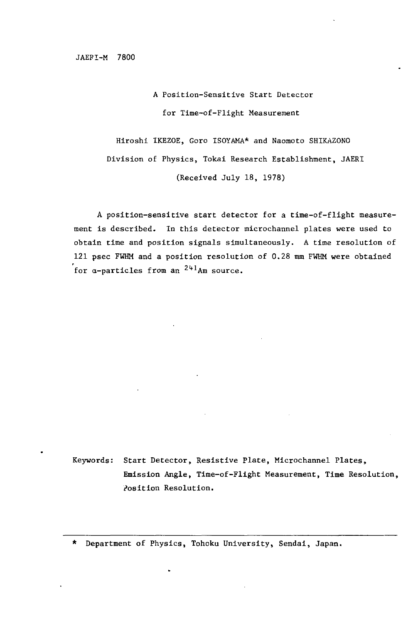JAEFI-M 7800 JAEFI-M 7800

A Position-Sensitive Start Detector A Position-Sensitive Start Detector for Time-of-Flight Measurement for Time-of-F1ight Measurement

Hiroshi IKEZOE, Goro ISOYAMA\* and Naomoto SHIKAZONO Hiroshi IKEZOE, Goro ISOYAMA\* and Naomoto SHlKAZONO Division of Physics, Tokai Research Establishment, JAERI Division of Physics, Tokai Research Estab1ishment, JAERI (Received July 18, 1978) (Received Ju1y 18, 1978)

A position-sensitive start detector for a time-of-flight measure-A position-sensitive start detector for a time-of-f1ight measurement is described. In this detector microchannel plates were used to ment is described. In this detector microchanne1 p1ates were used to obtain time and position signals simultaneously. A time resolution of obtain time and position signa1s simu1taneous1y. A time reso1ution of 121 psec FWHM and a position resolution of 0.28 mm FWHM were obtained for a-particles from an <sup>241</sup>Am source.

Keywords: Start Detector, Resistive Plate, MicroChannel Plates, Keywords: Start Detector, Resistive P1ate, Microchanne1 P1ates, Emission Angle, Time-of-Flight Measurement, Time Resolution, Emission Ang1e, Time-of-F1ight Measurement, Time Reso1ution, Position Resolution. l'osition Reso1ution.

\* Department of Physics, Tohcku University, Sendai, Japan. \* Department of Physics, Tohcku University, Sendai, Japan.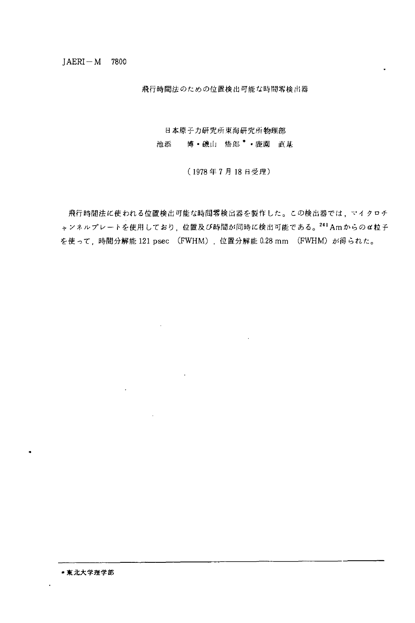$JAFRI-M$  7800

*Mfimf's&toKibcDtzmfeiiiBjmtmrsmfcMrs*  飛行時間法のための位置検出可能な時間容検出器

日本原子力研究所東海研究所物捜部

池添 博 •磯山 悟郎 <sup>•</sup> •鹿園 直基

(1978年7月18日受理)

を使って,時間分解能 121 psec (FWHM),位置分解能 0.28 mm (FWHM)が得られた。 飛行時間法に使われる位置検出可能な時間零検出器を製作した。この検出器では、マイクロチ ャンネルプレートを使用しており,位置及び時間が同時に検出可能である。<sup>241</sup>Amからのα粒子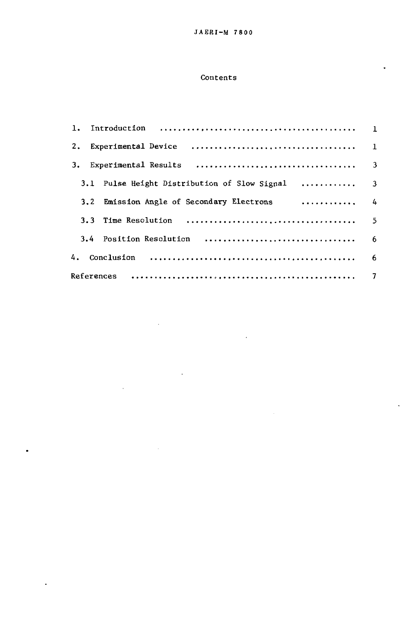#### Contents

| Experimental Device (Allerta Alexander Alexander Alexander Alexander Alexander Alexander Alexander Alexander A<br>2. |  |
|----------------------------------------------------------------------------------------------------------------------|--|
| Experimental Results $\ldots, \ldots, \ldots, \ldots, \ldots, \ldots, \ldots, \ldots,$<br>3.                         |  |
| 3.1 Pulse Height Distribution of Slow Signal  3                                                                      |  |
| . 4<br>3.2 Emission Angle of Secondary Electrons                                                                     |  |
|                                                                                                                      |  |
|                                                                                                                      |  |
| 4.                                                                                                                   |  |
|                                                                                                                      |  |

l,

 $\overline{a}$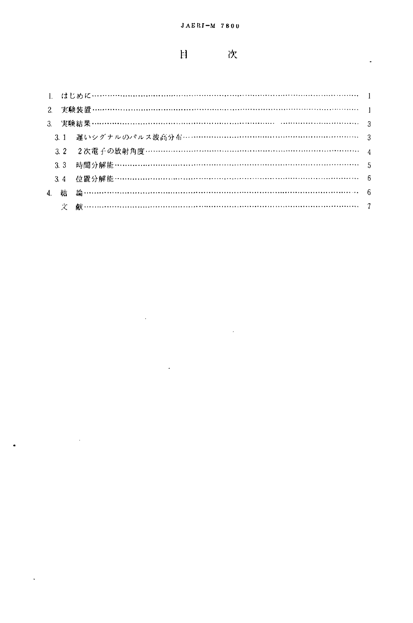#### **H** 次

l,

|  | 3.1 遅いシグナルのパルス波高分布…………………………………………………………… 3 |  |
|--|---------------------------------------------|--|
|  |                                             |  |
|  |                                             |  |
|  |                                             |  |
|  |                                             |  |
|  |                                             |  |

 $\bar{\beta}$ 

 $\ddot{\phantom{0}}$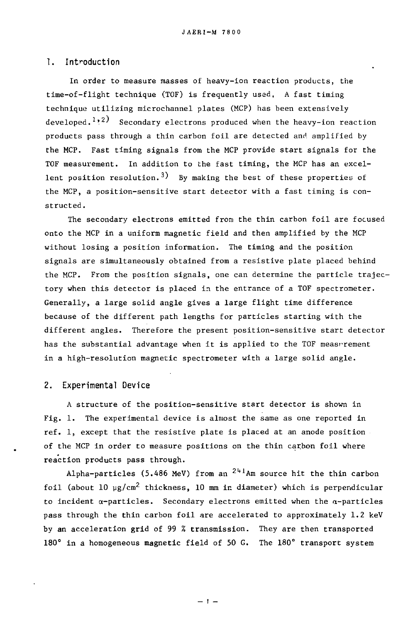#### 1. Introduction

In order to measure masses of heavy-ion reaction products, the In order to measure masses of heavy-ion reaction products, the time-of-flight technique (TOF) is frequently used. A fast timing technique utilizing microchannel plates (MCP) has been extensively technique uti1izing microchanne1 p1ates (MCP) has been extensive1y developed.<sup>1,2)</sup> Secondary electrons produced when the heavy-ion reaction products pass through a thin carbon foil are detected and amplified by the MCP. Fast timing signals from the MCP provide start signals for the the MCP. Fast timing signa1s from the MCP provide start signa1s for the TOF measurement. In addition to the fast timing, the MCP has an excel-TOF measurement. In addition to the fast timing, the MCP has an exce1 lent position resolution.<sup>3)</sup> By making the best of these properties of the MCP, a position-sensitive start detector with a fast timing is con-the MCP, a position-sensitive start detector with a fast timing is constructed. structed.

The secondary electrons emitted from the thin carbon foil are focused The secondary e1ectrons emitted from the thin carbon foi1 are foιused onto the MCP in a uniform magnetic field and then amplified by the MCP without losing a position information. The timing and the position without 10sing a position information. The timing and the position signals are simultaneously obtained from a resistive plate placed behind signa1s are simu1taneous1y obtained from a resistive p1ate p1aced behind the MCP. From the position signals, one can determine the particle trajectory when this detector is placed in the entrance of a TOF spectrometer. Generally, a large solid angle gives a large flight time difference Genera11y, a 1arge solid ang1e gives a 1arge f1ight time difference because of the different path lengths for particles starting with the because of the different path 1engths for partic1es starting with the different angles. Therefore the present position-sensitive start detector different ang1es. Therefore the present position-sensitive start detector has the substantial advantage when it is applied to the TOF meas rement in a high-resolution magnetic spectrometer with a large solid angle. in a high-reso1ution magnetic spectrometer with a 1arge solid ang1e.

#### **2. Experimental Device**  2. Experimenta1 Device

A structure of the position-sensitive start detector is shown in A structure of the position-sensitive start detector is shown in Fig. 1. The experimental device is almost the same as one reported in Fig. 1. The experimenta1 device is a1most the same as one reported in ref. 1, except that the resistive plate is placed at an anode position ref. 1, except that the resistive p1ate is p1aced at an anode position of the MCP in order to measure positions on the thin carbon foil where reaction products pass through.

Alpha-particles (5.486 MeV) from an  *2hihm* source hit the thin carbon A1pha-partic1es (5.486 MeV) from an 241Am source hit the thin carbon foil (about 10  $\mu$ g/cm $^2$  thickness, 10 mm in diameter) which is perpendicular to incident  $\alpha$ -particles. Secondary electrons emitted when the  $\alpha$ -particles pass through the thin carbon foil are accelerated to approximately 1.2 keV pass through the thin carbon foi1 are acce1erated to approximate1y 1.2 keV by an acceleration grid of 99 % transmission. They are then transported by an acce1eration grid of 99 % transmission. They are then transported 180° in a homogeneous magnetic field of 50 G. The 180° transport system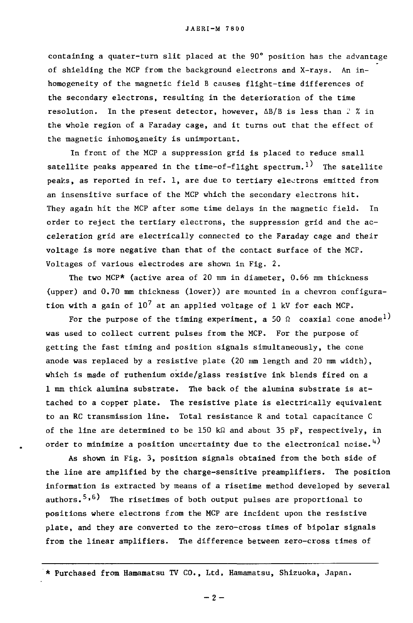containing a quater-turn slit placed at the  $90^\circ$  position has the advantage of shielding the MCP from the background electrons and X-rays. An in-of shie1ding the MCP from the background e1ectrons and X-rays. An inhomogeneity of the magnetic field B causes flight-time differences of homogeneity of the magnetic fie1d B causes f1ight-time differences of the secondary electrons, resulting in the deterioration of the time resolution. In the present detector, however, ΔB/B is less than 2 % in the whole region of a Faraday cage, and it turns out that the effect of the magnetic inhomogeneity is unimportant.

In front of the MCP a suppression grid is placed to reduce small In front of the MCP a suppression grid is p1aced to reduce sma11 satellite peaks appeared in the time-of-flight spectrum. $^{1)}$  The satellite peaks, as reported in ref. 1, are due to tertiary electrons emitted from an insensitive surface of the MCP which the secondary electrons hit. an insensitive surface of the MCP which the secondary e1ectrons hit. They again hit the MCP after some time delays in the magnetic field. In They again hit the MCP after some time de1ays in the magnetic fie1d. In order to reject the tertiary electrons, the suppression grid and the acceleration grid are electrically connected to the Faraday cage and their voltage is more negative than that of the contact surface of the MCP. vo1tage is more negative than that of the contact surface of the MCP. Voltages of various electrodes are shown in Fig. 2. Vo1tages of various e1ectrodes are shown in Fig. 2.

The two MCP\* (active area of 20 mm in diameter, 0.66 mm thickness (upper) and 0.70 mm thickness (lower)) are mounted in a chevron configura-(upper) and 0.70 mm thickness (1ower)) are mounted in a chevron configuration with a gain of  $10^7$  at an applied voltage of 1 kV for each MCP.

For the purpose of the timing experiment, a 50  $\Omega$  coaxial cone anode $^{1)}$ was used to collect current pulses from the MCP. For the purpose of getting the fast timing and position signals simultaneously, the cone getting the fast timing and position signa1s simu1taneous1y, the cone anode was replaced by a resistive plate (20 mm length and 20 mm width), which is made of ruthenium oxide/glass resistive ink blends fired on a which is made of ruthenium oxide/g1ass resistive ink b1ends fired on a 1 mm thick alumina substrate. The back of the alumina substrate is at-1 mm thick a1umina substrate. The back of the a1umina substrate is attached to a copper plate. The resistive plate is electrically equivalent tached to a copper p1ate. The resistive p1ate is e1ectrir.a11y equiva1ent to an RC transmission line. Total resistance R and total capacitance C to an RC transmission 1ine. Tota1 resistance R and tota1 capacitance C of the line are determined to be 150 kΩ and about 35 pF, respectively, in order to minimize a position uncertainty due to the electronical noise. $^{4)}$ 

As shown in Fig. 3, position signals obtained from the both side of As shown in Fig. 3, position signa1s obtained from the both side of the line are amplified by the charge-sensitive preamplifiers. The position the 1ine are amp1ified by the charge-sensitive preamp1ifiers. The position information is extracted by means of a risetime method developed by several information is extracted by means of a risetime method deve10ped by severa1 authors.<sup>5,6)</sup> The risetimes of both output pulses are proportional to positions where electrons from the MCP are incident upon the resistive positions where e1ectrons from the MCP are incident upon the resistive plate, and they are converted to the zero-cross times of bipolar signals p1ate, and they are converted to the zero-cross times of bipo1ar signa1s from the linear amplifiers. The difference between zero-cross times of from the 1inea

 $-2-$ 

<sup>\*</sup> Purchased from Hamamatsu TV CO., Ltd, Hamamatsu, Shizuoka, Japan. \* Purchased from Hamamatsu TV CO., Ltd. Hamamatsu, Shizuoka, Japn.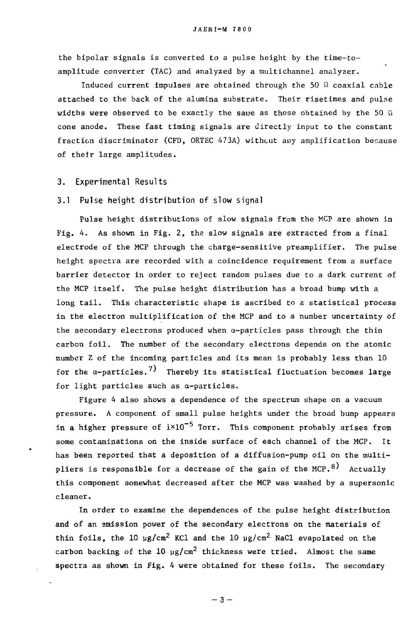the bipolar signals is converted to a pulse height by the time-toamplitude converter (TAC) and analyzed by a multichannel analyzer. amplitude converter (TAC) and analyzed by a mu1tichanne1 analyzer.

Induced current impulses are obtained through the 50  $\Omega$  coaxial cable attached to the back of the alumina substrate. Their risetimes and pulse attached to the back of the a1umina substrate. Their risetimes and pulse widths were observed to be exactly the same as those obtained by the 50  $\Omega$ cone anode. These fast timing signals are directly input to the constant cone anode. These fast timing signa1s are direct1y input to the constant fraction discriminator (CFD, ORTEC 473A) withcut any amplification because of their large amplitudes.

#### **3. Experimental Results**  3. Experimental Results

#### **3.1 Pulse height distribution of slow signal**  3.1 Pulse height distribution of slow signal

Pulse height distributions of slow signals from the MCP are shown in Pu1se height distributions of slow signals from the MCP are shown in Fig. 4. As shown in Fig. 2, the slow signals are extracted from a final Fig. 4. As shown in Fig. 2, the slow signa1s are extracted from a fina1 electrode of the MCP through the charge-sensitive preamplifier. The pulse e1ectrode of the MCP through the charge-sensitive preamplifier. The pu1se height spectra are recorded with a coincidence requirement from a surface height spectra are recorded with a coincidence requirement from a surface barrier detector in order to reject random pulses due to a dark current of barrier detector in order to reject random pu1ses due to a dark current of the MCP itself. The pulse height distribution has a broad bump with a long tail. This characteristic shape is ascribed to a statistical process in the electron multiplification of the MCP and to a number uncertainty of the secondary electrons produced when  $\alpha$ -particles pass through the thin carbon foil. The number of the secondary electrons depends on the atomic carbon foi1. The number of the secondary e1ectrons depends on the atomic number Z of the incoming particles and its mean is probably less than 10 number Z of the incoming particles and its mean is probably 1ess than 10 for the  $\alpha$ -particles.<sup>7)</sup> Thereby its statistical fluctuation becomes large for light particles such as a-particles. for 1ight partic1es such as a-partic1es.

Figure 4 also shows a dependence of the spectrum shape on a vacuum Figure 4 a1so shows a dependence of the spectrum shape on a vacuum pressure. A component of small pulse heights under the broad bump appears pressure. A component of sma11 pu1se heights under the broad bump appears in a higher pressure of  $\text{i} \times 10^{-5}$  Torr. This component probably arises from some contaminations on the inside surface of each channel of the MCP. It has been reported that a deposition of a diffusion-pump oil on the multi-has been reported that a deposition of a diffusion-pump oi1 on the mu1tipliers is responsible for a decrease of the gain of the MCP.<sup>8)</sup> Actually this component somewhat decreased after the MCP was washed by a supersonic this component somewhat decreased after the MCP was washed by a supersonic cleaner. cleaner.

In order to examine the dependences of the pulse height distribution In order to examine the dependences of the pu1se height distribution and of an emission power of the secondary electrons on the materials of thin foils, the 10  $\mu$ g/cm<sup>2</sup> KCl and the 10  $\mu$ g/cm<sup>2</sup> NaCl evapolated on the carbon backing of the  $10\,$   $\rm \upmu g/cm^2$  thickness were tried.  $\,$  Almost the same spectra as shown in Fig. 4 were obtained for these foils. The secondary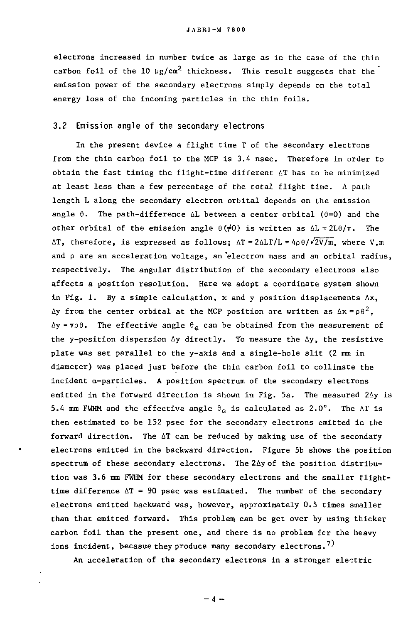electrons increased in number twice as large as in the case of the thin carbon foil of the 10  $\mu$ g/cm<sup>2</sup> thickness. This result suggests that the emission power of the secondary electrons simply depends on the total emission power of the secondary e1ectrons simp1y depends on the tota1 energy loss of the incoming particles in the thin foils. energy 10ss of the incoming partic1es in the thin foi1s.

#### 3.2 Emission angle of the secondary electrons 3.2 Emission angle of the secondary electrons

In the present device a flight time T of the secondary electrons 1n the present device a f1ight time T of the secondary e1ectrons from the thin carbon foil to the MCP is 3.4 nsec. Therefore in order to from the thin carbon foi1 to the MCP is 3.4 nsec. Therefore in order to obtain the fast timing the flight-time different  $\Delta T$  has to be minimized at least less than a few percentage of the total flight time. A path length L along the secondary electron orbital depends on the emission angle  $\theta$ . The path-difference  $\Delta L$  between a center orbital ( $\theta$ =0) and the other orbital of the emission angle  $\theta(\neq 0)$  is written as  $\Delta L = 2L\theta/\pi$ . The AT, therefore, is expressed as follows; AT=2ALT/L=4p $\theta$ / $\sqrt{2V/m}$ , where V,m and p are an acceleration voltage, an electron mass and an orbital radius, respectively. The angular distribution of the secondary electrons also affects a position resolution. Here we adopt a coordinate system shown affects a position res01ution. Here we adopt a coordinate system shown in Fig. 1. By a simple calculation, x and y position displacements  $\Delta x$ , Δy from the center orbital at the MCP position are written as Δx =ρθ $^2$ ,  $\Delta y$  =  $\pi \rho \theta$ . The effective angle  $\theta_{\bf e}$  can be obtained from the measurement of the y-position dispersion  $\Delta y$  directly. To measure the  $\Delta y$ , the resistive plate was set parallel to the y-axis and a single-hole slit (2 mm in p1ate was set para11e1 to the y-axis and a sing1e-h01e s1it (2 mm in diameter) was placed just before the thin carbon foil to collimate the diameter) was p1aced just before the thin carbon foi1 to c011imate the incident α-particles. A position spectrum of the secondary electrons emitted in the forward direction is shown in Fig. 5a. The measured  $2\Delta y$  is 5.4 mm FWHM and the effective angle  $\theta_{\hat{e}}$  is calculated as  $2.0^{\circ}$ . The  $\Delta T$  is then estimated to be 152 psec for the secondary electrons emitted in the then estimated to be 152 psec for the secondary e1ectrons emitted in the forward direction. The  $\Delta T$  can be reduced by making use of the secondary electrons emitted in the backward direction. Figure 5b shows the position spectrum of these secondary electrons. The 2Ay of the position distribu-spectrum of these secondary e1ectrons. The 2fiy of the position distribution was 3.6 mm FWHM for these secondary electrons and the smaller flighttime difference  $\Delta T = 90$  psec was estimated. The number of the secondary electrons emitted backward was, however, approximately 0.5 times smaller than that emitted forward. This problem can be get over by using thicker than that emitted forward. This problem can be get over by using thicker carbon foil than the present one, and there is no problem fcr the heavy ions incident, becasue they produce many secondary electrons. $^{7)}$ 

An acceleration of the secondary electrons in a stronger electric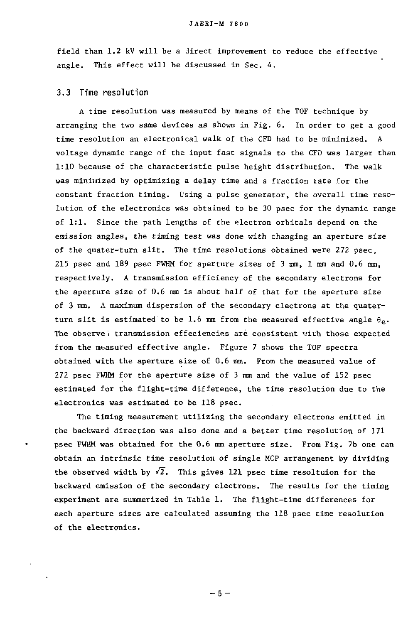field than 1.2 kV will be a direct improvement to reduce the effective fie1d than 1.2 kV wi11 be a jirect improvement to reduce the effective angle. This effect will be discussed in Sec. 4. ang1e. This effect wi11 be discussed in Sec. 4.

#### **3.3 Time resolution**  3.3 Time resolution

A time resolution was measured by means of the TOF technique by A time reso1ution was measured by means of the TOF technique by arranging the two same devices as shown in Fig. 6. In order to get a good arranging the two same devices as shown in Fig. 6. In order to get a good time resolution an electronical walk of the CFD had to be minimized. A voltage dynamic range of the input fast signals to the CFD was larger than 1:10 because of the characteristic pulse height distribution. The walk 1:10 because of the characteristic pu1se height distribution. The wa1k was minimized by optimizing a delay time and a fraction rate for the was minimized by optimizing a de1ay time and a fraction rate .for the constant fraction timing. Using a pulse generator, the overall time reso-constant fraction timing. Using a pu1se generator, the overa11 time resolution of the electronics was obtained to be 30 psec for the dynamic range 1ution of the e1ectronics was obtained to be 30 psec for the dynamic range of 1:1. Since the path lengths of the electron orbitals depend on the emission angles, the timing test was done with changing an aperture size emission angles, the timing test was done with changing an aperture size of the quater-turn slit. The time resolutions obtained were 272 psec, of the quater-turn s1ft. The time reso1utions obtained were 272 psec, 215 psec and 189 psec FWHM for aperture sizes of 3 mm, 1 mm and 0.6 mm, 215 psec and 189 psec FWHM for aperture sizes of 3 mm, 1 mm and 0.6 mm, respectively. A transmission efficiency of the secondary electrons for the aperture size of 0.6 mm is about half of that for the aperture size the aperture size of 0.6 mm is about ha1f of that for the aperture size of 3 mm. A maximum dispersion of the secondary electrons at the quaterturn slit is estimated to be 1.6 mm from the measured effective angle  $\theta_{\texttt{e}}$ . The observe ι transmission effeciencies are consistent with those expected from the measured effective angle. Figure 7 shows the TOF spectra obtained with the aperture size of 0.6 mm. From the measured value of 272 psec FWHM for the aperture size of 3 mm and the value of 152 psec 272 psec FWHM for the aperture size of 3 mm and the va1ue of 152 psec estimated for the flight-time difference, the time resolution due to the estimated for the f1ight-time difference, the time reso1ution due to the electronics was estimated to be 118 psec.

The timing measurement utilizing the secondary electrons emitted in The timing measurement uti1izing the secondary e1ectrons emitted in the backward direction was also done and a better time resolution of 171 the backward direction was a1so done and a better time reso1ution of 171 psec FWHM was obtained for the 0.6 mm aperture size. From Fig. 7b one can psec FWHM was obtained for the 0.6 mm aperture size. From Fig. 7b one can obtain an intrinsic time resolution of single MCP arrangement by dividing the observed width by  $\sqrt{2}$ . This gives 121 psec time resoltuion for the backward emission of the secondary electrons. The results for the timing backward emission of the secondary e1ectrons. The resu1ts for the timing experiment are summerized in Table 1. The flight-time differences for experiment are summerized in Tab1e 1. The f1ight-time differences for each aperture sizes are calculated assuming the 118 psec time resolution each aperture sizes are ca1cu1ated assuming the 118 psec time reso1ution of the electronics. of the e1ectronics.

 $-5-$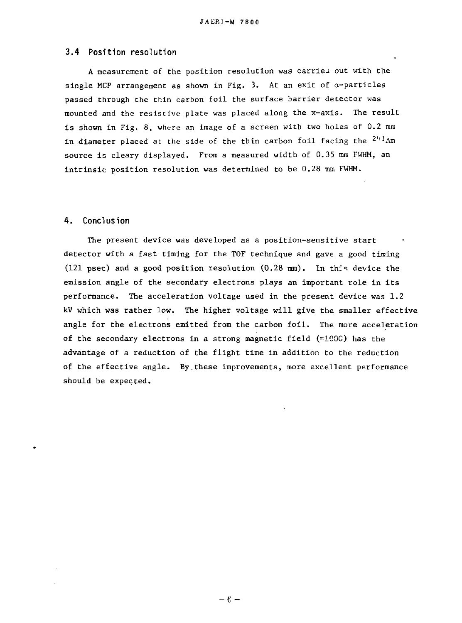# **3.4 Position resolution**  J.'tERI-M 7800 3.4 Position resolution

A measurement of the position resolution was carried out with the single MCP arrangement as shown in Fig. 3. At an exit of a-particles sing1e MCP arrangement as shown in Fig. 3. At an exit of α-partic1es passed through the thin carbon foil the surface barrier detector was passed through the thin carbon foi1 the surface barrier detector was mounted and the resistive plate was placed along the x-axis. The result mounted and the resistive plate was p1aced a10ng the x-axis. The resu1t is shown in Fig. 8, where an image of a screen with two holes of 0.2 mm in diameter placed at the side of the thin carbon foil facing the <sup>241</sup>Am source is cleary displayed. From a measured width of 0.35 mm FWHM, an intrinsic position resolution was determined to be 0.28 mm FWHM. intrinsic position rsolutionwas detrmined to be 0.28 mm FWHM.

#### **4. Conclusion**  4. Conclusion

The present device was developed as a position-sensitive start The present device was deve10ped as a position-sensitive start detector with a fast timing for the TOF technique and gave a good timing detector with a fast timing for the TOF technique and gave a good timing (121 psec) and a good position resolution  $(0.28 \text{ mm})$ . In this device the emission angle of the secondary electrons plays an important role in its emission ang1e of the secondary e1ectrons p1ays an important r01e in its performance. The acceleration voltage used in the present device was 1.2 performance. The acce1eration v01tage used in the present device was 1.2 kV which was rather low. The higher voltage will give the smaller effective angle for the electrons emitted from the carbon foil. The more acceleration ang1e for the e1ectrons emitted from the carbon foi1. The more acce1eration of the secondary electrons in a strong magnetic field  $(100G)$  has the advantage of a reduction of the flight time in addition to the reduction advantage of a reduction of the f1ight time in addition to the reduction of the effective angle. By.these improvements, more excellent performance of the effective ang1e. By.these improvements, more exce11ent performance should be expected. shou1d be expected.

 $-6 -$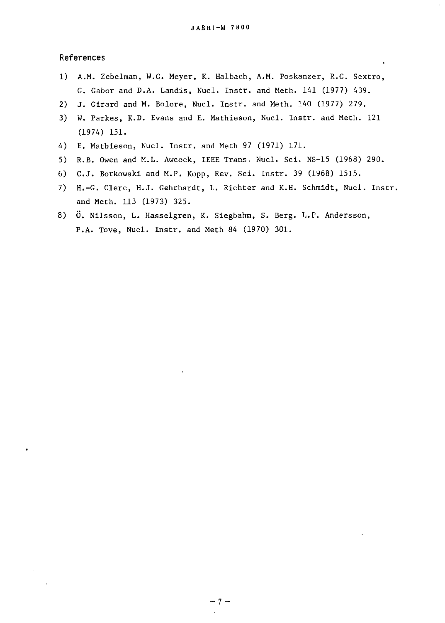#### References References

- 1) A.M. Zebelman, W.G. Meyer, K. Halbach, A.M. Poskanzer, R.G. Sextro, 1) A.M. Zebe1man, W.G. Meyer, K. Ha1bach, A.M. Poskanzer, R.G. Sextro, G. Gabor and D.A. Landis, Nucl. Instr. and Meth. 141 (1977) 439. G. Gabor and D.A. Landis, Nuc1. Instr. and Meth. 141 (1977) 439.
- 2) J. Girard and M. Bolore, Nucl. Instr. and Meth. 140 (1977) 279.
- 3) W. Parkes, K.D. Evans and E. Mathieson, Nucl. Instr. and Meth. 121 (1974) 151. (1974) 151.
- 4) E. Mathieson, Nucl. Instr. and Meth 97 (1971) 171. 4) E. Mathieson, Nuc1. Instr. and Meth 97 (1971) 171.
- 5) R.B. Owen and M.L. Awcock, IEEE Trans, Nucl. Sci. NS-15 (1968) 290. 5) R.B. Owen and M.L. Awcock, IEEE Trans, Nuc1. Sci. NS-15 (1968) 290.
- 6) C.J. Borkowski and M.P. Kopp, Rev. Sci. Instr. 39 (1968) 1515.
- 7) H.-G. Clerc, H.J. Gehrhardt, L. Richter and K.H. Schmidt, Nucl. Instr. 7) H.-G. C1erc, H.J. Gehrhardt, L. Richter and K.H. Schmidt, Nuc1. Instr. and Meth. 113 (1973) 325. and Meth. 113 (1973) 325.
- 8) 0. Nilsson, L. Hasselgren, K. Siegbahm, S. Berg. L.P. Andersson, 8) O. Ni1sson, L. Hasse1gren, K. Siegbahm, S. Berg. L.P. Andersson, P.A. Tove, Nucl. Instr. and Meth 84 (1970) 301. P.A. Tove, Nuc1. Instr. and Meth 84 (1970) 301.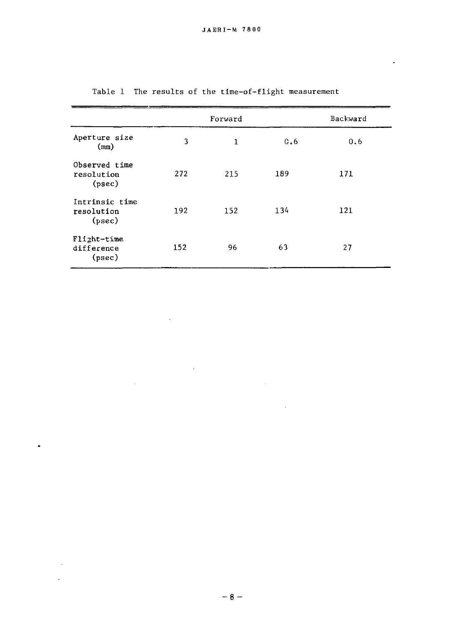$\blacksquare$ 

|                                        |     | Forward |     | Backward |
|----------------------------------------|-----|---------|-----|----------|
| Aperture size<br>(mn)                  | 3   | 1       | 0.6 | 0.6      |
| Observed time<br>resolution<br>(psec)  | 272 | 215     | 189 | 171      |
| Intrinsic time<br>resolution<br>(psec) | 192 | 152     | 134 | 121      |
| Flight-time<br>difference<br>(psec)    | 152 | 96      | 63  | 27       |

 $\mathcal{A}$ 

 $\sim 10^{-10}$ 

 $\ddot{\phantom{a}}$ 

 $\sim 10^{-1}$  $\mathcal{L}^{\text{max}}$ 

 $\sim$ 

Table 1 The results of the time-of-flight measurement Tab1e 1 The resu1ts of the time-of-f1ight measurement

 $\sim 10^{-1}$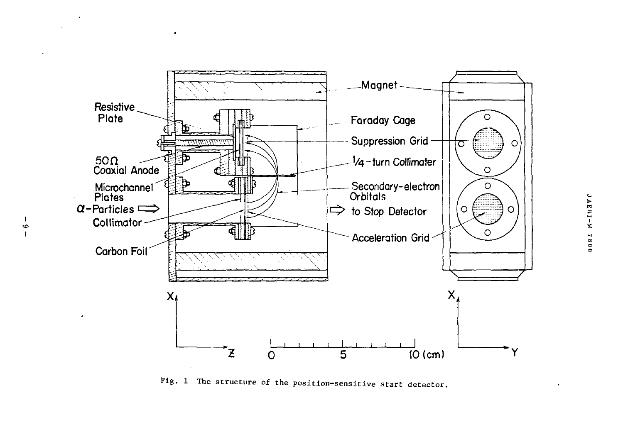

 $\bullet$ 

 $\ddot{\circ}$ 

Fig. 1 The structure of the position-sensitive start detector.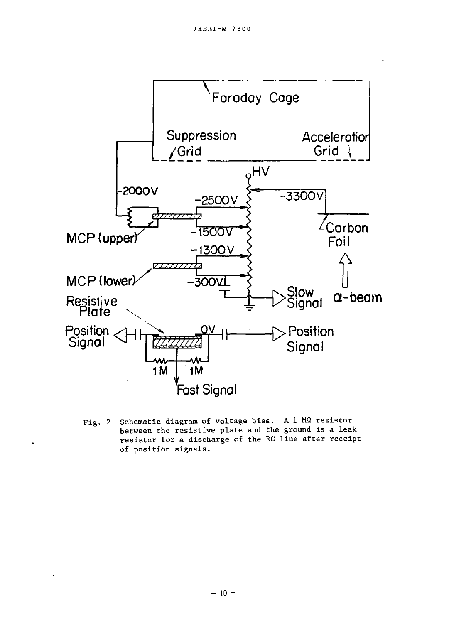

Schematic diagram of voltage bias. A 1 MQ resistor  $Fig. 2$ between the resistive plate and the ground is a leak resistor for a discharge of the RC line after receipt of position signals.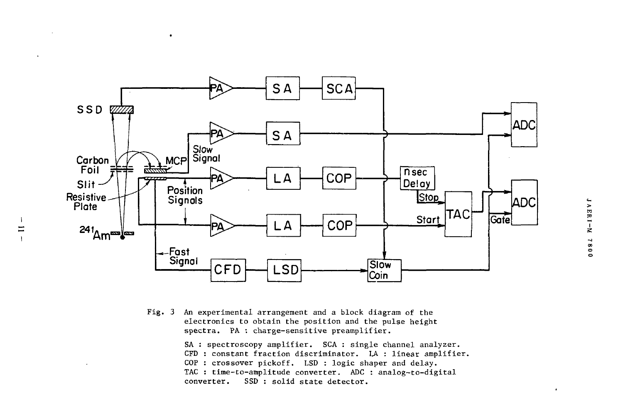

 $\bullet$ 

 $\mathbf{1}$ 

 $\equiv$ 

An experimental arrangement and a block diagram of the  $Fig. 3$ electronics to obtain the position and the pulse height spectra. PA : charge-sensitive preamplifier.

> SA : spectroscopy amplifier. SCA : single channel analyzer. CFD : constant fraction discriminator. LA : linear amplifier. COP : crossover pickoff. LSD : logic shaper and delay. TAC : time-to-amplitude converter. ADC : analog-to-digital SSD : solid state detector. converter.

 $\cdot$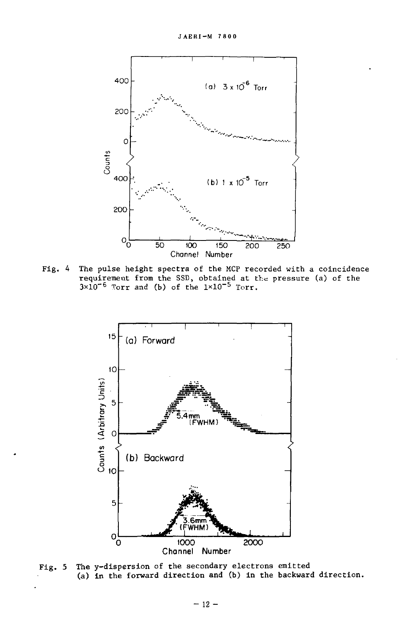

Fig. 4 The pulse height spectra of the MCP recorded with a coincidence requirement from the SSD, obtained at the pressure (a) of the  $3\times10^{-6}$  forr and (b) of the  $1\times10^{-5}$  forr.



The y-dispersion of the secondary electrons emitted  $Fig. 5$ (a) in the forward direction and (b) in the backward direction.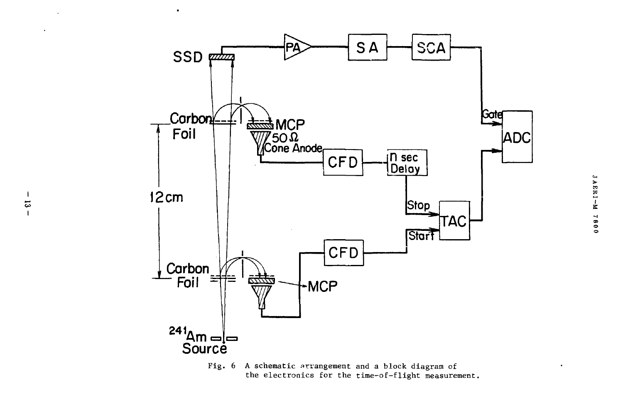

 $\ddot{\phantom{0}}$ 

 $\mathbf{I}$ 

 $\overline{\omega}$ 

 $\mathbf{I}$ 

Fig.  $6$ A schematic arrangement and a block diagram of the electronics for the time-of-flight measurement.

 $\bullet$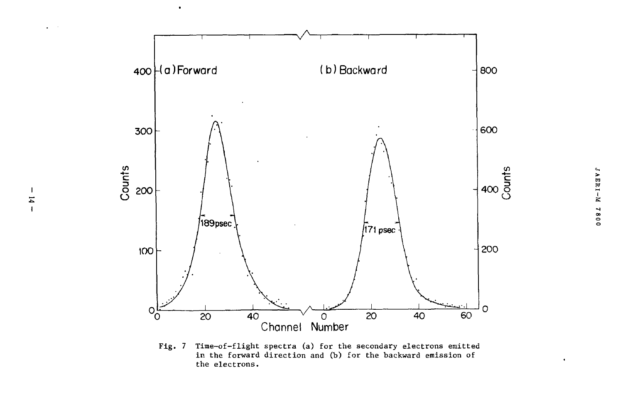

 $\bullet$ 

 $\ddot{\phantom{a}}$ 

 $\overline{\phantom{a}}$  $\overline{a}$  $\overline{1}$ 

 $Fig. 7$ Time-of-flight spectra (a) for the secondary electrons emitted in the forward direction and (b) for the backward emission of the electrons.